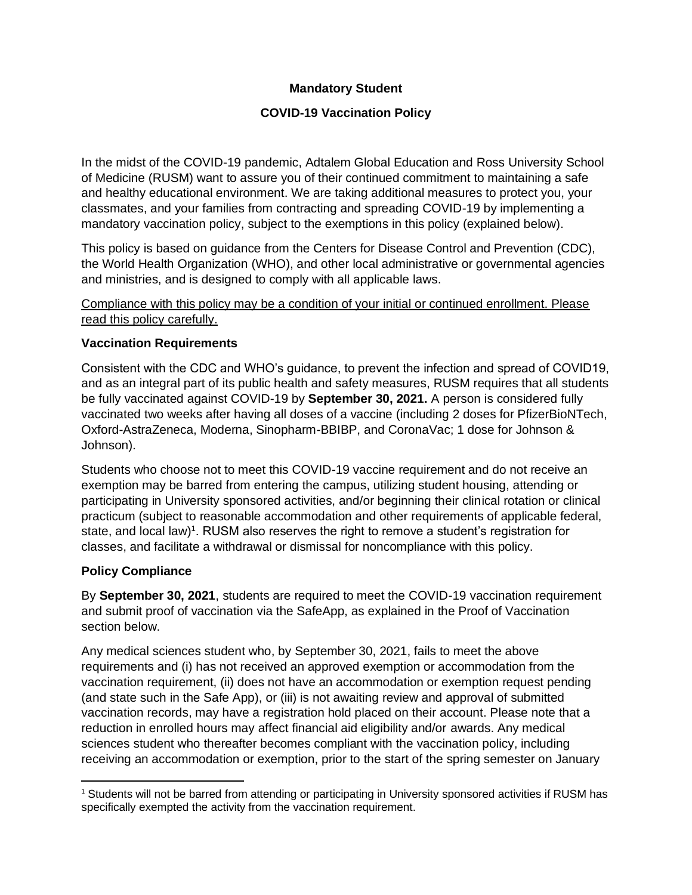## **Mandatory Student**

## **COVID-19 Vaccination Policy**

In the midst of the COVID-19 pandemic, Adtalem Global Education and Ross University School of Medicine (RUSM) want to assure you of their continued commitment to maintaining a safe and healthy educational environment. We are taking additional measures to protect you, your classmates, and your families from contracting and spreading COVID-19 by implementing a mandatory vaccination policy, subject to the exemptions in this policy (explained below).

This policy is based on guidance from the Centers for Disease Control and Prevention (CDC), the World Health Organization (WHO), and other local administrative or governmental agencies and ministries, and is designed to comply with all applicable laws.

Compliance with this policy may be a condition of your initial or continued enrollment. Please read this policy carefully.

#### **Vaccination Requirements**

Consistent with the CDC and WHO's guidance, to prevent the infection and spread of COVID19, and as an integral part of its public health and safety measures, RUSM requires that all students be fully vaccinated against COVID-19 by **September 30, 2021.** A person is considered fully vaccinated two weeks after having all doses of a vaccine (including 2 doses for PfizerBioNTech, Oxford-AstraZeneca, Moderna, Sinopharm-BBIBP, and CoronaVac; 1 dose for Johnson & Johnson).

Students who choose not to meet this COVID-19 vaccine requirement and do not receive an exemption may be barred from entering the campus, utilizing student housing, attending or participating in University sponsored activities, and/or beginning their clinical rotation or clinical practicum (subject to reasonable accommodation and other requirements of applicable federal, state, and local law)<sup>1</sup>. RUSM also reserves the right to remove a student's registration for classes, and facilitate a withdrawal or dismissal for noncompliance with this policy.

#### **Policy Compliance**

By **September 30, 2021**, students are required to meet the COVID-19 vaccination requirement and submit proof of vaccination via the SafeApp, as explained in the Proof of Vaccination section below.

Any medical sciences student who, by September 30, 2021, fails to meet the above requirements and (i) has not received an approved exemption or accommodation from the vaccination requirement, (ii) does not have an accommodation or exemption request pending (and state such in the Safe App), or (iii) is not awaiting review and approval of submitted vaccination records, may have a registration hold placed on their account. Please note that a reduction in enrolled hours may affect financial aid eligibility and/or awards. Any medical sciences student who thereafter becomes compliant with the vaccination policy, including receiving an accommodation or exemption, prior to the start of the spring semester on January

<sup>&</sup>lt;sup>1</sup> Students will not be barred from attending or participating in University sponsored activities if RUSM has specifically exempted the activity from the vaccination requirement.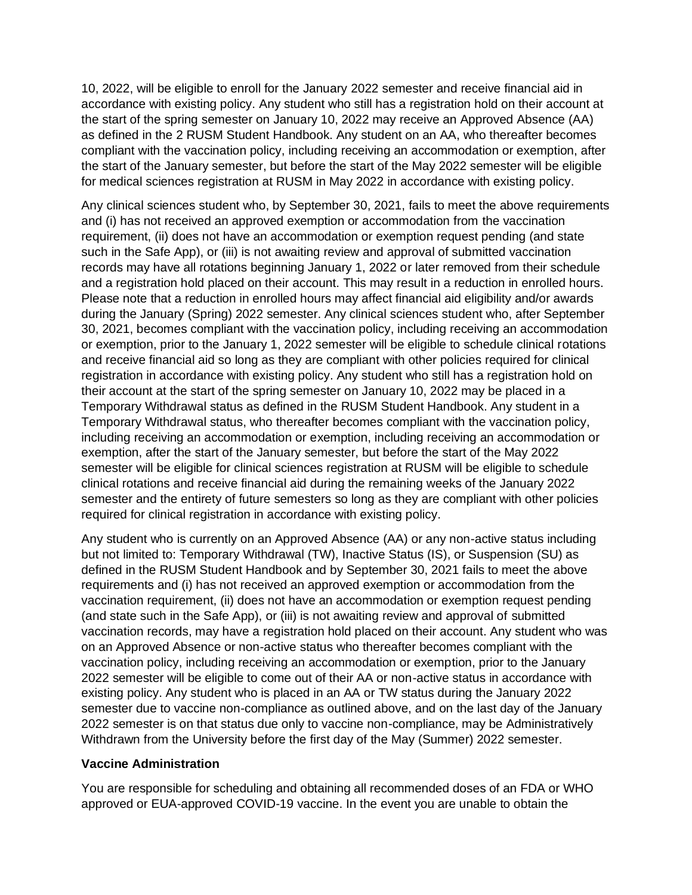10, 2022, will be eligible to enroll for the January 2022 semester and receive financial aid in accordance with existing policy. Any student who still has a registration hold on their account at the start of the spring semester on January 10, 2022 may receive an Approved Absence (AA) as defined in the 2 RUSM Student Handbook. Any student on an AA, who thereafter becomes compliant with the vaccination policy, including receiving an accommodation or exemption, after the start of the January semester, but before the start of the May 2022 semester will be eligible for medical sciences registration at RUSM in May 2022 in accordance with existing policy.

Any clinical sciences student who, by September 30, 2021, fails to meet the above requirements and (i) has not received an approved exemption or accommodation from the vaccination requirement, (ii) does not have an accommodation or exemption request pending (and state such in the Safe App), or (iii) is not awaiting review and approval of submitted vaccination records may have all rotations beginning January 1, 2022 or later removed from their schedule and a registration hold placed on their account. This may result in a reduction in enrolled hours. Please note that a reduction in enrolled hours may affect financial aid eligibility and/or awards during the January (Spring) 2022 semester. Any clinical sciences student who, after September 30, 2021, becomes compliant with the vaccination policy, including receiving an accommodation or exemption, prior to the January 1, 2022 semester will be eligible to schedule clinical rotations and receive financial aid so long as they are compliant with other policies required for clinical registration in accordance with existing policy. Any student who still has a registration hold on their account at the start of the spring semester on January 10, 2022 may be placed in a Temporary Withdrawal status as defined in the RUSM Student Handbook. Any student in a Temporary Withdrawal status, who thereafter becomes compliant with the vaccination policy, including receiving an accommodation or exemption, including receiving an accommodation or exemption, after the start of the January semester, but before the start of the May 2022 semester will be eligible for clinical sciences registration at RUSM will be eligible to schedule clinical rotations and receive financial aid during the remaining weeks of the January 2022 semester and the entirety of future semesters so long as they are compliant with other policies required for clinical registration in accordance with existing policy.

Any student who is currently on an Approved Absence (AA) or any non-active status including but not limited to: Temporary Withdrawal (TW), Inactive Status (IS), or Suspension (SU) as defined in the RUSM Student Handbook and by September 30, 2021 fails to meet the above requirements and (i) has not received an approved exemption or accommodation from the vaccination requirement, (ii) does not have an accommodation or exemption request pending (and state such in the Safe App), or (iii) is not awaiting review and approval of submitted vaccination records, may have a registration hold placed on their account. Any student who was on an Approved Absence or non-active status who thereafter becomes compliant with the vaccination policy, including receiving an accommodation or exemption, prior to the January 2022 semester will be eligible to come out of their AA or non-active status in accordance with existing policy. Any student who is placed in an AA or TW status during the January 2022 semester due to vaccine non-compliance as outlined above, and on the last day of the January 2022 semester is on that status due only to vaccine non-compliance, may be Administratively Withdrawn from the University before the first day of the May (Summer) 2022 semester.

#### **Vaccine Administration**

You are responsible for scheduling and obtaining all recommended doses of an FDA or WHO approved or EUA-approved COVID-19 vaccine. In the event you are unable to obtain the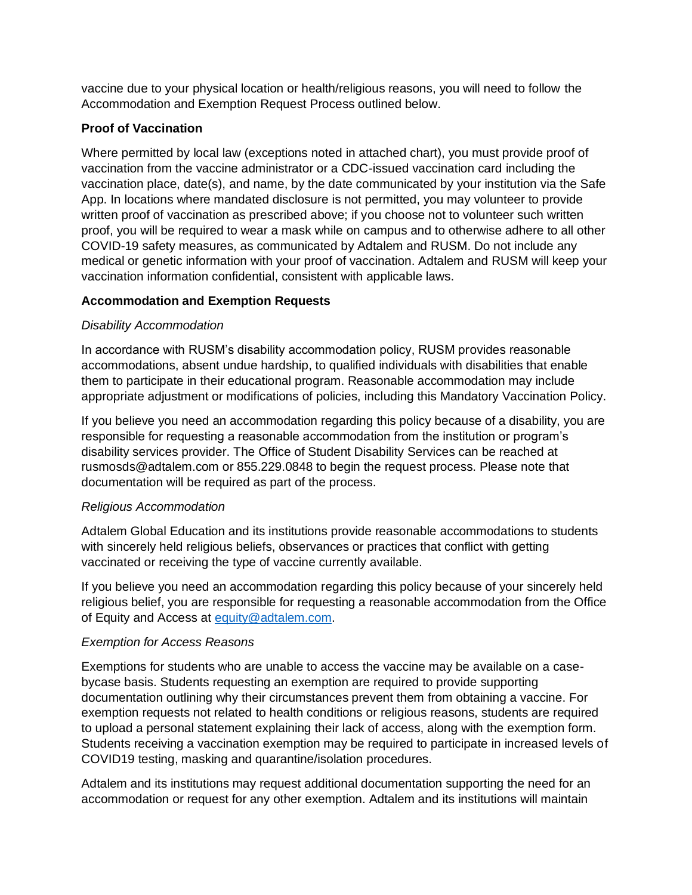vaccine due to your physical location or health/religious reasons, you will need to follow the Accommodation and Exemption Request Process outlined below.

### **Proof of Vaccination**

Where permitted by local law (exceptions noted in attached chart), you must provide proof of vaccination from the vaccine administrator or a CDC-issued vaccination card including the vaccination place, date(s), and name, by the date communicated by your institution via the Safe App. In locations where mandated disclosure is not permitted, you may volunteer to provide written proof of vaccination as prescribed above; if you choose not to volunteer such written proof, you will be required to wear a mask while on campus and to otherwise adhere to all other COVID-19 safety measures, as communicated by Adtalem and RUSM. Do not include any medical or genetic information with your proof of vaccination. Adtalem and RUSM will keep your vaccination information confidential, consistent with applicable laws.

## **Accommodation and Exemption Requests**

#### *Disability Accommodation*

In accordance with RUSM's disability accommodation policy, RUSM provides reasonable accommodations, absent undue hardship, to qualified individuals with disabilities that enable them to participate in their educational program. Reasonable accommodation may include appropriate adjustment or modifications of policies, including this Mandatory Vaccination Policy.

If you believe you need an accommodation regarding this policy because of a disability, you are responsible for requesting a reasonable accommodation from the institution or program's disability services provider. The Office of Student Disability Services can be reached at rusmosds@adtalem.com or 855.229.0848 to begin the request process. Please note that documentation will be required as part of the process.

#### *Religious Accommodation*

Adtalem Global Education and its institutions provide reasonable accommodations to students with sincerely held religious beliefs, observances or practices that conflict with getting vaccinated or receiving the type of vaccine currently available.

If you believe you need an accommodation regarding this policy because of your sincerely held religious belief, you are responsible for requesting a reasonable accommodation from the Office of Equity and Access at [equity@adtalem.com.](mailto:equity@adtalem.com)

#### *Exemption for Access Reasons*

Exemptions for students who are unable to access the vaccine may be available on a casebycase basis. Students requesting an exemption are required to provide supporting documentation outlining why their circumstances prevent them from obtaining a vaccine. For exemption requests not related to health conditions or religious reasons, students are required to upload a personal statement explaining their lack of access, along with the exemption form. Students receiving a vaccination exemption may be required to participate in increased levels of COVID19 testing, masking and quarantine/isolation procedures.

Adtalem and its institutions may request additional documentation supporting the need for an accommodation or request for any other exemption. Adtalem and its institutions will maintain